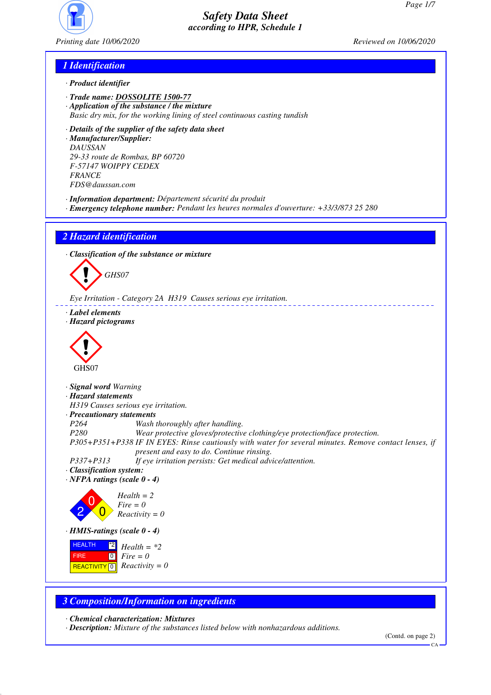

*Printing date 10/06/2020 Reviewed on 10/06/2020*

## *1 Identification*

- *· Product identifier*
- *· Trade name: DOSSOLITE 1500-77*
- *· Application of the substance / the mixture*
- *Basic dry mix, for the working lining of steel continuous casting tundish*
- *· Details of the supplier of the safety data sheet*

*· Manufacturer/Supplier: DAUSSAN 29-33 route de Rombas, BP 60720 F-57147 WOIPPY CEDEX FRANCE FDS@daussan.com*

- *· Information department: Département sécurité du produit*
- *· Emergency telephone number: Pendant les heures normales d'ouverture: +33/3/873 25 280*

*2 Hazard identification*

*· Classification of the substance or mixture*

d~*GHS07*

*Eye Irritation - Category 2A H319 Causes serious eye irritation.*

- *· Label elements*
- *· Hazard pictograms*



- *· Signal word Warning*
- *· Hazard statements*

*H319 Causes serious eye irritation.*

- *· Precautionary statements*
- *P264 Wash thoroughly after handling.*

*P280 Wear protective gloves/protective clothing/eye protection/face protection.*

*P305+P351+P338 IF IN EYES: Rinse cautiously with water for several minutes. Remove contact lenses, if present and easy to do. Continue rinsing.*

*P337+P313 If eye irritation persists: Get medical advice/attention.*

- *· Classification system:*
- *· NFPA ratings (scale 0 4)*



*· HMIS-ratings (scale 0 - 4)*

 HEALTH FIRE  $R$ **REACTIVITY**  $\boxed{0}$  *Reactivity = 0*  $\mathbb{Z}$  *Health* = \*2  $\boxed{0}$ *Fire = 0*

#### *3 Composition/Information on ingredients*

*· Chemical characterization: Mixtures*

*· Description: Mixture of the substances listed below with nonhazardous additions.*

CA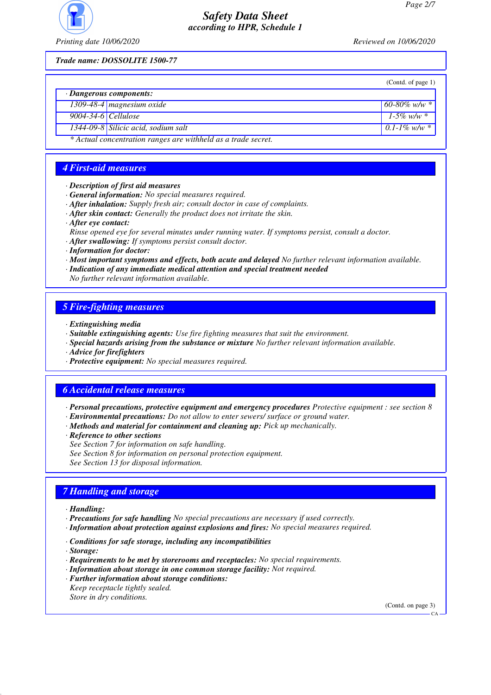

*Printing date 10/06/2020 Reviewed on 10/06/2020*

*Trade name: DOSSOLITE 1500-77*

|                                                               |                                     | (Contd. of page 1) |  |  |
|---------------------------------------------------------------|-------------------------------------|--------------------|--|--|
| $\cdot$ Dangerous components:                                 |                                     |                    |  |  |
|                                                               | 1309-48-4 magnesium oxide           | $60-80\%$ w/w $*$  |  |  |
| 9004-34-6 Cellulose                                           |                                     | 1-5% w/w $*$       |  |  |
|                                                               | 1344-09-8 Silicic acid, sodium salt | $0.1 - 1\%$ w/w *  |  |  |
| * Actual concentration ranges are withheld as a trade secret. |                                     |                    |  |  |

#### *4 First-aid measures*

- *· Description of first aid measures*
- *· General information: No special measures required.*
- *· After inhalation: Supply fresh air; consult doctor in case of complaints.*
- *· After skin contact: Generally the product does not irritate the skin.*
- *· After eye contact:*
- *Rinse opened eye for several minutes under running water. If symptoms persist, consult a doctor.*
- *· After swallowing: If symptoms persist consult doctor.*
- *· Information for doctor:*
- *· Most important symptoms and effects, both acute and delayed No further relevant information available.*
- *· Indication of any immediate medical attention and special treatment needed*

*No further relevant information available.*

#### *5 Fire-fighting measures*

- *· Extinguishing media*
- *· Suitable extinguishing agents: Use fire fighting measures that suit the environment.*
- *· Special hazards arising from the substance or mixture No further relevant information available.*
- *· Advice for firefighters*
- *· Protective equipment: No special measures required.*

#### *6 Accidental release measures*

- *· Personal precautions, protective equipment and emergency procedures Protective equipment : see section 8*
- *· Environmental precautions: Do not allow to enter sewers/ surface or ground water.*
- *· Methods and material for containment and cleaning up: Pick up mechanically.*
- *· Reference to other sections*
- *See Section 7 for information on safe handling.*
- *See Section 8 for information on personal protection equipment.*
- *See Section 13 for disposal information.*

#### *7 Handling and storage*

- *· Handling:*
- *· Precautions for safe handling No special precautions are necessary if used correctly.*
- *· Information about protection against explosions and fires: No special measures required.*
- *· Conditions for safe storage, including any incompatibilities*
- *· Storage:*
- *· Requirements to be met by storerooms and receptacles: No special requirements.*
- *· Information about storage in one common storage facility: Not required.*
- *· Further information about storage conditions: Keep receptacle tightly sealed.*
- *Store in dry conditions.*

(Contd. on page 3)

CA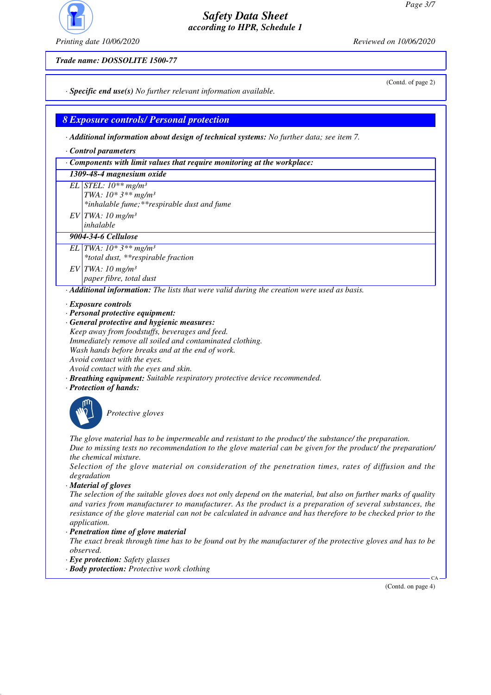

*Trade name: DOSSOLITE 1500-77*

*Printing date 10/06/2020 Reviewed on 10/06/2020*

(Contd. of page 2)

*· Specific end use(s) No further relevant information available.*

*8 Exposure controls/ Personal protection*

*· Additional information about design of technical systems: No further data; see item 7.*

*· Control parameters*

*· Components with limit values that require monitoring at the workplace:*

#### *1309-48-4 magnesium oxide*

- *EL STEL: 10\*\* mg/m³*
	- *TWA: 10\* 3\*\* mg/m³*
		- *\*inhalable fume;\*\*respirable dust and fume*
- *EV TWA: 10 mg/m³*
- *inhalable*

# *9004-34-6 Cellulose*

- *EL TWA: 10\* 3\*\* mg/m³ \*total dust, \*\*respirable fraction EV TWA: 10 mg/m³*
	- *paper fibre, total dust*

*· Additional information: The lists that were valid during the creation were used as basis.*

- *· Exposure controls*
- *· Personal protective equipment:*
- *· General protective and hygienic measures: Keep away from foodstuffs, beverages and feed. Immediately remove all soiled and contaminated clothing. Wash hands before breaks and at the end of work. Avoid contact with the eyes. Avoid contact with the eyes and skin.*
- *· Breathing equipment: Suitable respiratory protective device recommended.*
- *· Protection of hands:*



\_S*Protective gloves*

*The glove material has to be impermeable and resistant to the product/ the substance/ the preparation. Due to missing tests no recommendation to the glove material can be given for the product/ the preparation/ the chemical mixture.*

*Selection of the glove material on consideration of the penetration times, rates of diffusion and the degradation*

*· Material of gloves*

*The selection of the suitable gloves does not only depend on the material, but also on further marks of quality and varies from manufacturer to manufacturer. As the product is a preparation of several substances, the resistance of the glove material can not be calculated in advance and has therefore to be checked prior to the application.*

*· Penetration time of glove material*

*The exact break through time has to be found out by the manufacturer of the protective gloves and has to be observed.*

- *· Eye protection: Safety glasses*
- *· Body protection: Protective work clothing*

(Contd. on page 4)

CA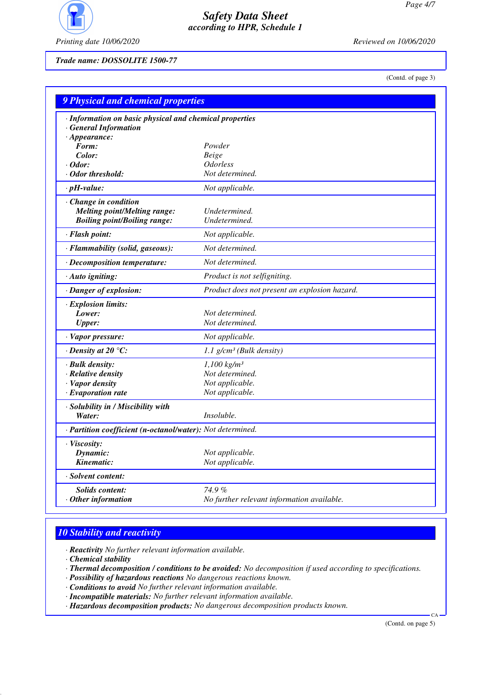

*Printing date 10/06/2020 Reviewed on 10/06/2020*

*Trade name: DOSSOLITE 1500-77*

(Contd. of page 3)

| 9 Physical and chemical properties                         |                                               |  |  |  |  |
|------------------------------------------------------------|-----------------------------------------------|--|--|--|--|
| · Information on basic physical and chemical properties    |                                               |  |  |  |  |
| <b>General Information</b>                                 |                                               |  |  |  |  |
| $\cdot$ Appearance:                                        |                                               |  |  |  |  |
| Form:                                                      | Powder                                        |  |  |  |  |
| Color:                                                     | Beige                                         |  |  |  |  |
| $\cdot$ Odor:                                              | <i><b>Odorless</b></i>                        |  |  |  |  |
| · Odor threshold:                                          | Not determined.                               |  |  |  |  |
| $\cdot$ pH-value:                                          | Not applicable.                               |  |  |  |  |
| · Change in condition                                      |                                               |  |  |  |  |
| <b>Melting point/Melting range:</b>                        | Undetermined.                                 |  |  |  |  |
| <b>Boiling point/Boiling range:</b>                        | Undetermined.                                 |  |  |  |  |
| · Flash point:                                             | Not applicable.                               |  |  |  |  |
| · Flammability (solid, gaseous):                           | Not determined.                               |  |  |  |  |
| · Decomposition temperature:                               | Not determined.                               |  |  |  |  |
| · Auto igniting:                                           | Product is not selfigniting.                  |  |  |  |  |
| · Danger of explosion:                                     | Product does not present an explosion hazard. |  |  |  |  |
| · Explosion limits:                                        |                                               |  |  |  |  |
| Lower:                                                     | Not determined.                               |  |  |  |  |
| <b>Upper:</b>                                              | Not determined.                               |  |  |  |  |
| · Vapor pressure:                                          | Not applicable.                               |  |  |  |  |
| $\cdot$ Density at 20 $\degree$ C:                         | 1.1 $g/cm^3$ (Bulk density)                   |  |  |  |  |
| · Bulk density:                                            | $1,100$ kg/m <sup>3</sup>                     |  |  |  |  |
| · Relative density                                         | Not determined.                               |  |  |  |  |
| · Vapor density                                            | Not applicable.                               |  |  |  |  |
| $\cdot$ Evaporation rate                                   | Not applicable.                               |  |  |  |  |
| · Solubility in / Miscibility with                         |                                               |  |  |  |  |
| Water:                                                     | <i>Insoluble.</i>                             |  |  |  |  |
| · Partition coefficient (n-octanol/water): Not determined. |                                               |  |  |  |  |
| · Viscosity:                                               |                                               |  |  |  |  |
| Dynamic:                                                   | Not applicable.                               |  |  |  |  |
| Kinematic:                                                 | Not applicable.                               |  |  |  |  |
| · Solvent content:                                         |                                               |  |  |  |  |
| <b>Solids content:</b>                                     | $74.9\%$                                      |  |  |  |  |
| $\cdot$ Other information                                  | No further relevant information available.    |  |  |  |  |
|                                                            |                                               |  |  |  |  |

## *10 Stability and reactivity*

*· Reactivity No further relevant information available.*

*· Chemical stability*

- *· Thermal decomposition / conditions to be avoided: No decomposition if used according to specifications.*
- *· Possibility of hazardous reactions No dangerous reactions known.*
- *· Conditions to avoid No further relevant information available.*
- *· Incompatible materials: No further relevant information available.*
- *· Hazardous decomposition products: No dangerous decomposition products known.*

(Contd. on page 5)

 $\overline{C}$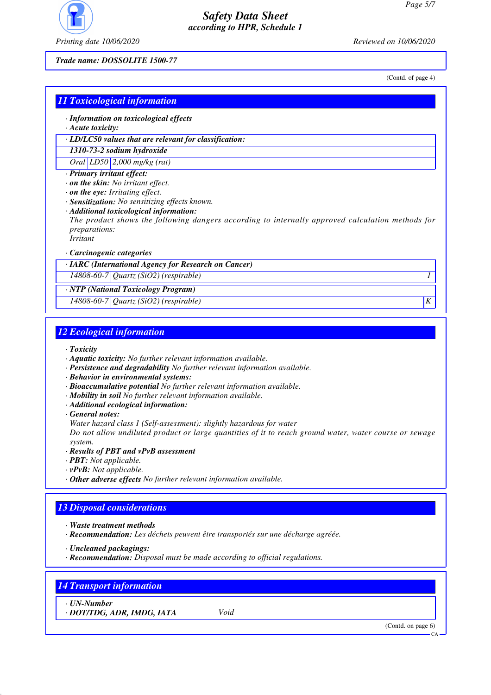

*Printing date 10/06/2020 Reviewed on 10/06/2020*

*Trade name: DOSSOLITE 1500-77*

(Contd. of page 4)

## *11 Toxicological information · Information on toxicological effects · Acute toxicity: · LD/LC50 values that are relevant for classification: 1310-73-2 sodium hydroxide Oral LD50 2,000 mg/kg (rat) · Primary irritant effect: · on the skin: No irritant effect. · on the eye: Irritating effect. · Sensitization: No sensitizing effects known. · Additional toxicological information: The product shows the following dangers according to internally approved calculation methods for preparations: Irritant · Carcinogenic categories · IARC (International Agency for Research on Cancer) 14808-60-7 Quartz (SiO2) (respirable) 1 · NTP (National Toxicology Program) 14808-60-7 Quartz (SiO2) (respirable) K*

#### *12 Ecological information*

- *· Toxicity*
- *· Aquatic toxicity: No further relevant information available.*
- *· Persistence and degradability No further relevant information available.*
- *· Behavior in environmental systems:*
- *· Bioaccumulative potential No further relevant information available.*
- *· Mobility in soil No further relevant information available.*
- *· Additional ecological information:*
- *· General notes:*
- *Water hazard class 1 (Self-assessment): slightly hazardous for water*

*Do not allow undiluted product or large quantities of it to reach ground water, water course or sewage system.*

- *· Results of PBT and vPvB assessment*
- *· PBT: Not applicable.*
- *· vPvB: Not applicable.*
- *· Other adverse effects No further relevant information available.*

## *13 Disposal considerations*

- *· Waste treatment methods*
- *· Recommendation: Les déchets peuvent être transportés sur une décharge agréée.*
- *· Uncleaned packagings:*
- *· Recommendation: Disposal must be made according to official regulations.*

#### *14 Transport information*

*· UN-Number*

*· DOT/TDG, ADR, IMDG, IATA Void*

(Contd. on page 6)

CA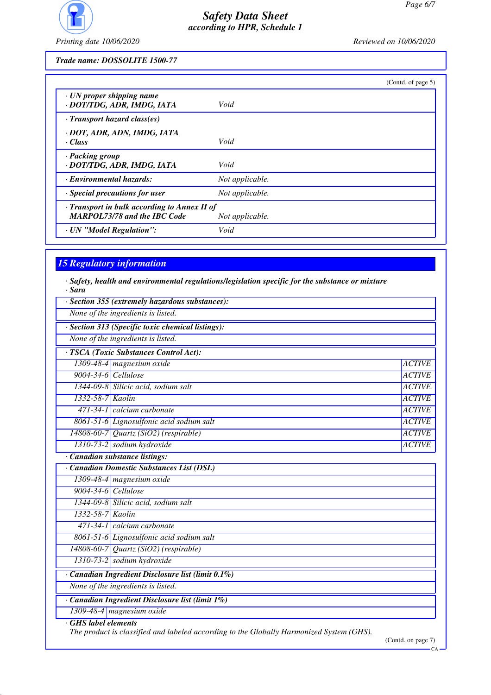

*Printing date 10/06/2020 Reviewed on 10/06/2020*

*Trade name: DOSSOLITE 1500-77*

|                                                                                     | (Contd. of page 5) |
|-------------------------------------------------------------------------------------|--------------------|
| · UN proper shipping name<br>· DOT/TDG, ADR, IMDG, IATA                             | Void               |
| $\cdot$ Transport hazard class(es)                                                  |                    |
| · DOT, ADR, ADN, IMDG, IATA<br>· Class                                              | Void               |
| · Packing group<br>· DOT/TDG, ADR, IMDG, IATA                                       | Void               |
| · Environmental hazards:                                                            | Not applicable.    |
| Special precautions for user                                                        | Not applicable.    |
| · Transport in bulk according to Annex II of<br><b>MARPOL73/78 and the IBC Code</b> | Not applicable.    |
| · UN "Model Regulation":                                                            | Void               |

# *15 Regulatory information*

*· Safety, health and environmental regulations/legislation specific for the substance or mixture · Sara*

|                     | · Section 355 (extremely hazardous substances):                                          |               |
|---------------------|------------------------------------------------------------------------------------------|---------------|
|                     | None of the ingredients is listed.                                                       |               |
|                     | · Section 313 (Specific toxic chemical listings):                                        |               |
|                     | None of the ingredients is listed.                                                       |               |
|                     | · TSCA (Toxic Substances Control Act):                                                   |               |
|                     | 1309-48-4 magnesium oxide                                                                | <b>ACTIVE</b> |
| 9004-34-6 Cellulose |                                                                                          | <b>ACTIVE</b> |
|                     | 1344-09-8 Silicic acid, sodium salt                                                      | <b>ACTIVE</b> |
| 1332-58-7 Kaolin    |                                                                                          | <b>ACTIVE</b> |
|                     | 471-34-1 calcium carbonate                                                               | <b>ACTIVE</b> |
|                     | 8061-51-6 Lignosulfonic acid sodium salt                                                 | <b>ACTIVE</b> |
|                     | $14808-60-7$ Quartz (SiO2) (respirable)                                                  | <b>ACTIVE</b> |
|                     | 1310-73-2 sodium hydroxide                                                               | <b>ACTIVE</b> |
|                     | Canadian substance listings:                                                             |               |
|                     | Canadian Domestic Substances List (DSL)                                                  |               |
|                     | 1309-48-4 magnesium oxide                                                                |               |
| 9004-34-6 Cellulose |                                                                                          |               |
|                     | 1344-09-8 Silicic acid, sodium salt                                                      |               |
| 1332-58-7 Kaolin    |                                                                                          |               |
|                     | 471-34-1 calcium carbonate                                                               |               |
|                     | 8061-51-6 Lignosulfonic acid sodium salt                                                 |               |
|                     | 14808-60-7 Quartz (SiO2) (respirable)                                                    |               |
|                     | 1310-73-2 sodium hydroxide                                                               |               |
|                     | · Canadian Ingredient Disclosure list (limit 0.1%)                                       |               |
|                     | None of the ingredients is listed.                                                       |               |
|                     | Canadian Ingredient Disclosure list (limit 1%)                                           |               |
|                     | 1309-48-4 magnesium oxide                                                                |               |
| GHS label elements  | The product is classified and labeled according to the Globally Harmonized System (GHS). |               |

(Contd. on page 7)

 $-cA$